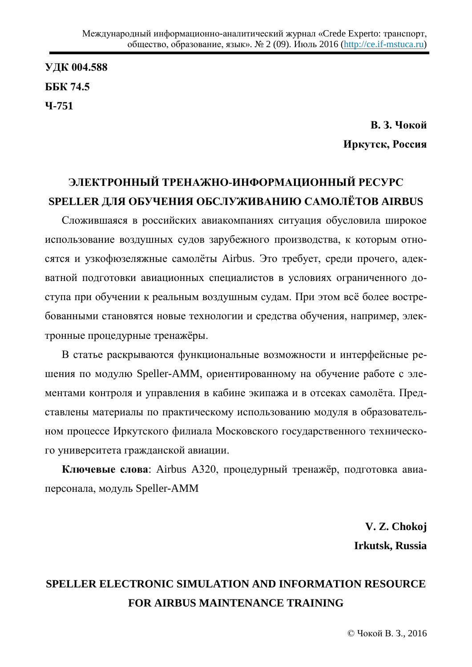**ɍȾɄ 004.588 GGK 74.5 ɑ-751**

> **В. 3. Чокой** Иркутск, Россия

## ЭЛЕКТРОННЫЙ ТРЕНАЖНО-ИНФОРМАЦИОННЫЙ РЕСУРС SPELLER ДЛЯ ОБУЧЕНИЯ ОБСЛУЖИВАНИЮ САМОЛЁТОВ AIRBUS

Сложившаяся в российских авиакомпаниях ситуация обусловила широкое использование воздушных судов зарубежного производства, к которым относятся и узкофюзеляжные самолёты Airbus. Это требует, среди прочего, адекватной подготовки авиационных специалистов в условиях ограниченного доступа при обучении к реальным воздушным судам. При этом всё более востребованными становятся новые технологии и средства обучения, например, электронные процедурные тренажёры.

В статье раскрываются функциональные возможности и интерфейсные решения по модулю Speller-AMM, ориентированному на обучение работе с элементами контроля и управления в кабине экипажа и в отсеках самолёта. Представлены материалы по практическому использованию модуля в образовательном процессе Иркутского филиала Московского государственного технического университета гражданской авиации.

**Ключевые слова**: Airbus A320, процедурный тренажёр, подготовка авиаперсонала, модуль Speller-AMM

> **V. Z. Chokoj Irkutsk, Russia**

## **SPELLER ELECTRONIC SIMULATION AND INFORMATION RESOURCE FOR AIRBUS MAINTENANCE TRAINING**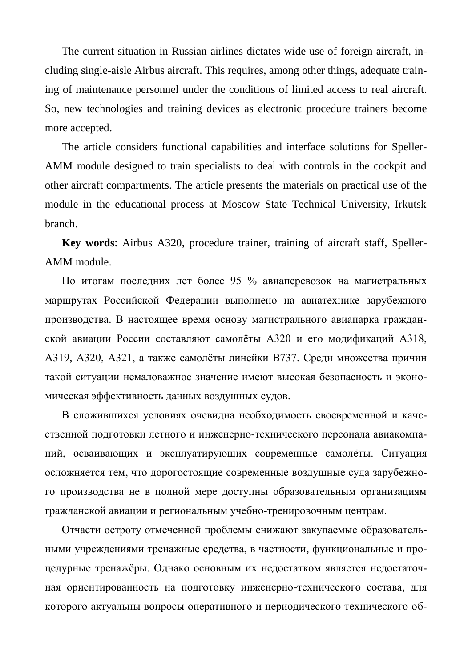The current situation in Russian airlines dictates wide use of foreign aircraft, including single-aisle Airbus aircraft. This requires, among other things, adequate training of maintenance personnel under the conditions of limited access to real aircraft. So, new technologies and training devices as electronic procedure trainers become more accepted.

The article considers functional capabilities and interface solutions for Speller-AMM module designed to train specialists to deal with controls in the cockpit and other aircraft compartments. The article presents the materials on practical use of the module in the educational process at Moscow State Technical University, Irkutsk branch.

**Key words**: Airbus A320, procedure trainer, training of aircraft staff, Speller-AMM module.

По итогам последних лет более 95 % авиаперевозок на магистральных маршрутах Российской Федерации выполнено на авиатехнике зарубежного производства. В настоящее время основу магистрального авиапарка гражданской авиации России составляют самолёты А320 и его модификаций А318, А319, А320, А321, а также самолёты линейки В737. Среди множества причин такой ситуации немаловажное значение имеют высокая безопасность и экономическая эффективность данных воздушных судов.

В сложившихся условиях очевидна необходимость своевременной и качественной подготовки летного и инженерно-технического персонала авиакомпаний, осваивающих и эксплуатирующих современные самолёты. Ситуация осложняется тем, что дорогостоящие современные воздушные суда зарубежного производства не в полной мере доступны образовательным организациям гражданской авиации и региональным учебно-тренировочным центрам.

Отчасти остроту отмеченной проблемы снижают закупаемые образовательными учреждениями тренажные средства, в частности, функциональные и процедурные тренажёры. Однако основным их недостатком является недостаточная ориентированность на подготовку инженерно-технического состава, для которого актуальны вопросы оперативного и периодического технического об-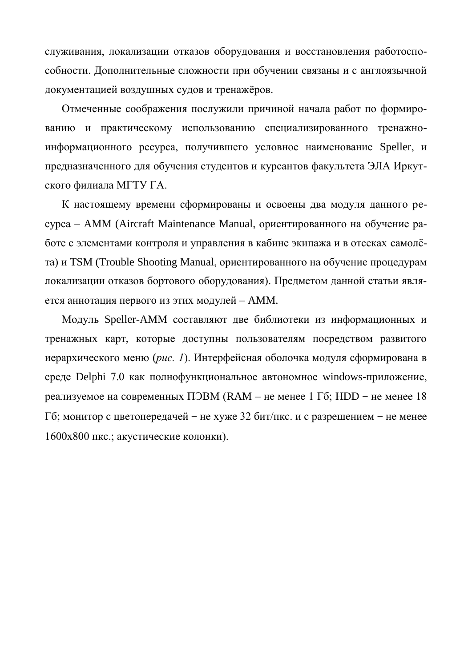служивания, локализации отказов оборудования и восстановления работоспособности. Дополнительные сложности при обучении связаны и с англоязычной документацией воздушных судов и тренажёров.

Отмеченные соображения послужили причиной начала работ по формированию и практическому использованию специализированного тренажноинформационного ресурса, получившего условное наименование Speller, и предназначенного для обучения студентов и курсантов факультета ЭЛА Иркутского филиала МГТУ ГА.

К настоящему времени сформированы и освоены два модуля данного реcypca – AMM (Aircraft Maintenance Manual, ориентированного на обучение работе с элементами контроля и управления в кабине экипажа и в отсеках самолёта) и TSM (Trouble Shooting Manual, ориентированного на обучение процедурам локализации отказов бортового оборудования). Предметом данной статьи является аннотация первого из этих модулей – АММ.

Модуль Speller-AMM составляют две библиотеки из информационных и тренажных карт, которые доступны пользователям посредством развитого иерархического меню (*puc. 1*). Интерфейсная оболочка модуля сформирована в среде Delphi 7.0 как полнофункциональное автономное windows-приложение, реализуемое на современных ПЭВМ (RAM – не менее 1 Гб; HDD – не менее 18 Гб; монитор с цветопередачей – не хуже 32 бит/пкс. и с разрешением – не менее 1600х800 пкс.; акустические колонки).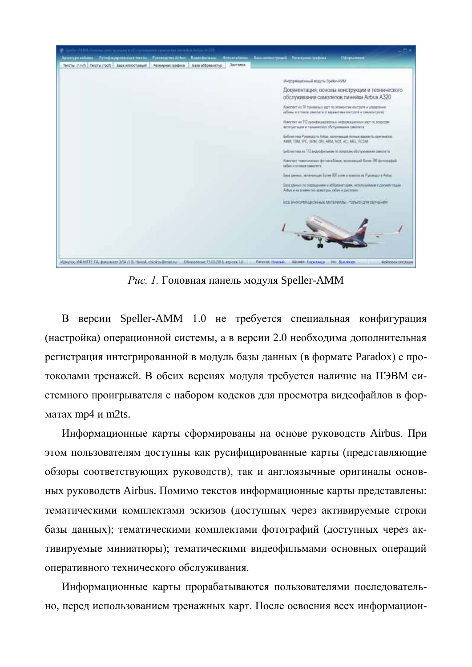

*Рис. 1.* Головная панель модуля Speller-AMM

В версии Speller-AMM 1.0 не требуется специальная конфигурация (настройка) операционной системы, а в версии 2.0 необходима дополнительная регистрация интегрированной в модуль базы данных (в формате Paradox) с протоколами тренажей. В обеих версиях модуля требуется наличие на ПЭВМ системного проигрывателя с набором кодеков для просмотра видеофайлов в форматах mp4 и m2ts.

Информационные карты сформированы на основе руководств Airbus. При этом пользователям доступны как русифицированные карты (представляющие обзоры соответствующих руководств), так и англоязычные оригиналы основных руководств Airbus. Помимо текстов информационные карты представлены: тематическими комплектами эскизов (доступных через активируемые строки базы данных); тематическими комплектами фотографий (доступных через активируемые миниатюры); тематическими видеофильмами основных операций оперативного технического обслуживания.

Информационные карты прорабатываются пользователями последовательно, перед использованием тренажных карт. После освоения всех информацион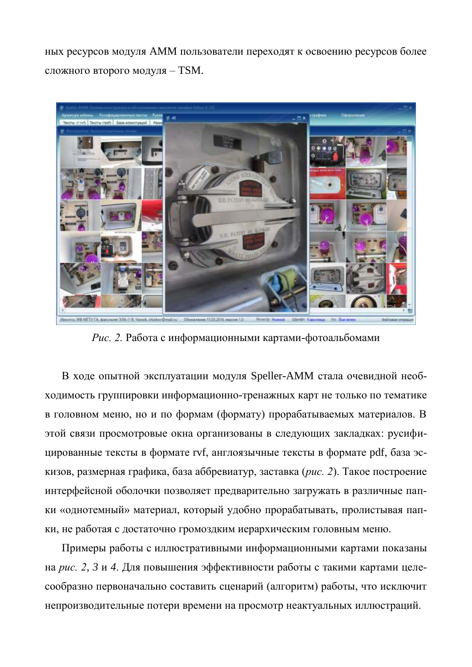ных ресурсов модуля АММ пользователи переходят к освоению ресурсов более сложного второго модуля – TSM.



Рис. 2. Работа с информационными картами-фотоальбомами

В ходе опытной эксплуатации модуля Speller-AMM стала очевидной необходимость группировки информационно-тренажных карт не только по тематике в головном меню, но и по формам (формату) прорабатываемых материалов. В этой связи просмотровые окна организованы в следующих закладках: русифицированные тексты в формате rvf, англоязычные тексты в формате pdf, база эскизов, размерная графика, база аббревиатур, заставка (рис. 2). Такое построение интерфейсной оболочки позволяет предварительно загружать в различные папки «однотемный» материал, который удобно прорабатывать, пролистывая папки, не работая с достаточно громоздким иерархическим головным меню.

Примеры работы с иллюстративными информационными картами показаны на рис. 2, 3 и 4. Для повышения эффективности работы с такими картами целесообразно первоначально составить сценарий (алгоритм) работы, что исключит непроизводительные потери времени на просмотр неактуальных иллюстраций.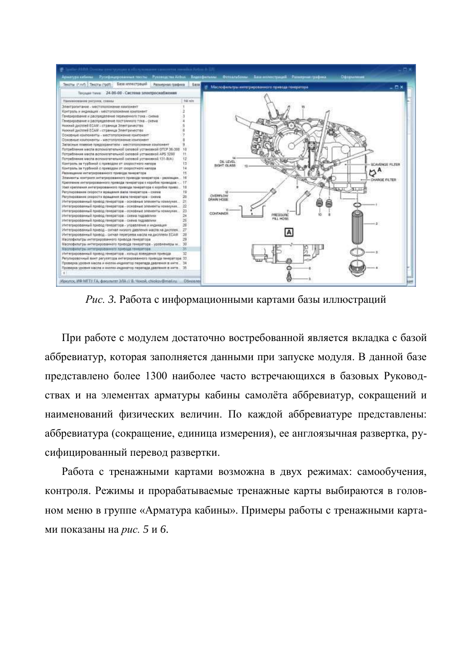

*Рис.* 3. Работа с информационными картами базы иллюстраций

При работе с модулем достаточно востребованной является вкладка с базой аббревиатур, которая заполняется данными при запуске модуля. В данной базе представлено более 1300 наиболее часто встречающихся в базовых Руководствах и на элементах арматуры кабины самолёта аббревиатур, сокращений и наименований физических величин. По каждой аббревиатуре представлены: аббревиатура (сокращение, единица измерения), ее англоязычная развертка, русифицированный перевод развертки.

Работа с тренажными картами возможна в двух режимах: самообучения, контроля. Режимы и прорабатываемые тренажные карты выбираются в головном меню в группе «Арматура кабины». Примеры работы с тренажными картами показаны на *рис*. 5 и 6.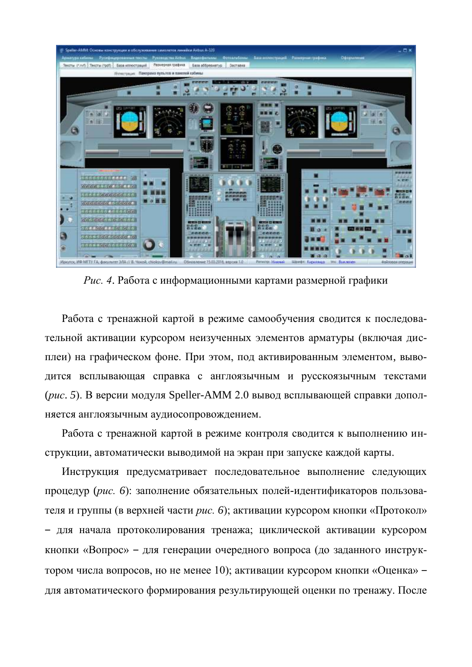

Рис. 4. Работа с информационными картами размерной графики

Работа с тренажной картой в режиме самообучения сводится к последовательной активации курсором неизученных элементов арматуры (включая дисплеи) на графическом фоне. При этом, под активированным элементом, выводится всплывающая справка с англоязычным и русскоязычным текстами (рис. 5). В версии модуля Speller-AMM 2.0 вывод всплывающей справки дополняется англоязычным аудиосопровождением.

Работа с тренажной картой в режиме контроля сводится к выполнению инструкции, автоматически выводимой на экран при запуске каждой карты.

Инструкция предусматривает последовательное выполнение следующих процедур (рис. 6): заполнение обязательных полей-идентификаторов пользователя и группы (в верхней части *рис. 6*); активации курсором кнопки «Протокол» - для начала протоколирования тренажа; циклической активации курсором кнопки «Вопрос» – для генерации очередного вопроса (до заданного инструктором числа вопросов, но не менее 10); активации курсором кнопки «Оценка» – для автоматического формирования результирующей оценки по тренажу. После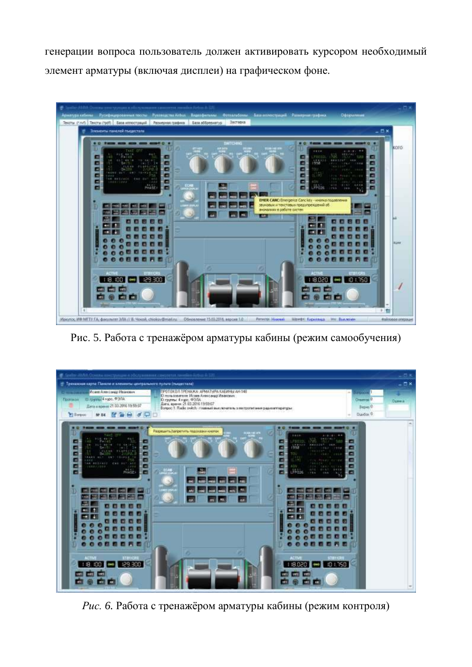генерации вопроса пользователь должен активировать курсором необходимый элемент арматуры (включая дисплеи) на графическом фоне.



Рис. 5. Работа с тренажёром арматуры кабины (режим самообучения)



*Рис.* 6. Работа с тренажёром арматуры кабины (режим контроля)